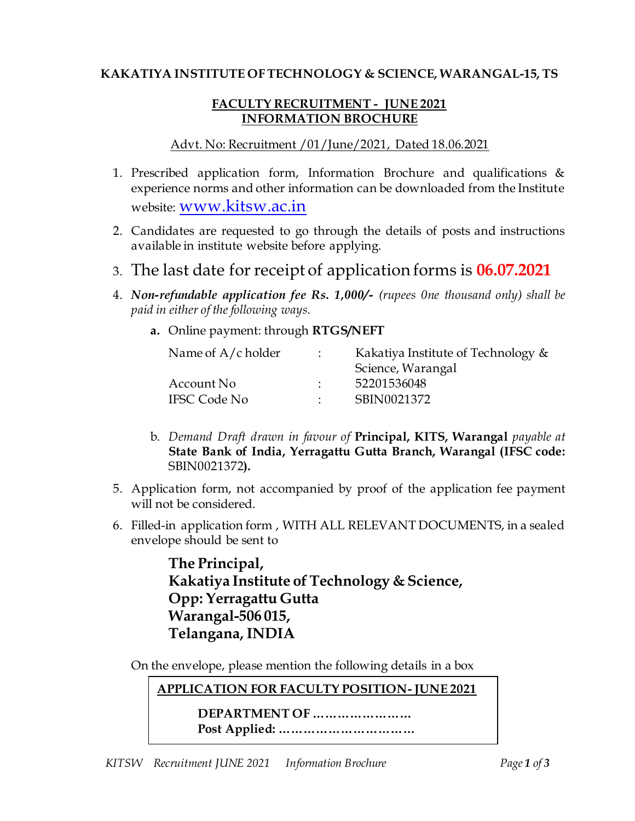## **KAKATIYA INSTITUTE OF TECHNOLOGY & SCIENCE, WARANGAL-15, TS**

## **FACULTY RECRUITMENT - JUNE 2021 INFORMATION BROCHURE**

## Advt. No: Recruitment /01/June/2021, Dated 18.06.2021

- 1. Prescribed application form, Information Brochure and qualifications & experience norms and other information can be downloaded from the Institute website: [www.kitsw.ac.in](http://www.kitsw.ac.in/)
- 2. Candidates are requested to go through the details of posts and instructions available in institute website before applying.
- 3. The last date for receipt of application forms is **06.07.2021**
- 4. *Non-refundable application fee Rs. 1,000/- (rupees 0ne thousand only) shall be paid in either of the following ways.* 
	- **a.** Online payment: through **RTGS/NEFT**

| Name of $A/c$ holder | Kakatiya Institute of Technology & |
|----------------------|------------------------------------|
|                      | Science, Warangal                  |
| Account No           | 52201536048                        |
| <b>IFSC Code No</b>  | SBIN0021372                        |

- b. *Demand Draft drawn in favour of* **Principal, KITS, Warangal** *payable at* **State Bank of India, Yerragattu Gutta Branch, Warangal (IFSC code:**  SBIN0021372**).**
- 5. Application form, not accompanied by proof of the application fee payment will not be considered.
- 6. Filled-in application form , WITH ALL RELEVANT DOCUMENTS, in a sealed envelope should be sent to

**The Principal, Kakatiya Institute of Technology & Science, Opp: Yerragattu Gutta Warangal-506 015, Telangana, INDIA**

On the envelope, please mention the following details in a box

**APPLICATION FOR FACULTY POSITION- JUNE 2021** 

> **DEPARTMENT OF …………………… Post Applied: ……………………………**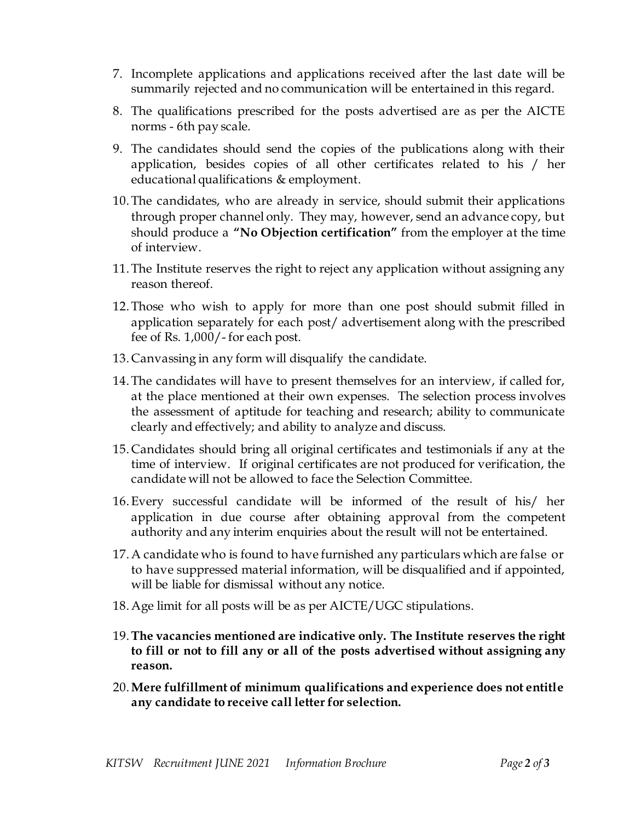- 7. Incomplete applications and applications received after the last date will be summarily rejected and no communication will be entertained in this regard.
- 8. The qualifications prescribed for the posts advertised are as per the AICTE norms - 6th pay scale.
- 9. The candidates should send the copies of the publications along with their application, besides copies of all other certificates related to his / her educational qualifications & employment.
- 10.The candidates, who are already in service, should submit their applications through proper channel only. They may, however, send an advance copy, but should produce a **"No Objection certification"** from the employer at the time of interview.
- 11.The Institute reserves the right to reject any application without assigning any reason thereof.
- 12.Those who wish to apply for more than one post should submit filled in application separately for each post/ advertisement along with the prescribed fee of Rs. 1,000/- for each post.
- 13. Canvassing in any form will disqualify the candidate.
- 14.The candidates will have to present themselves for an interview, if called for, at the place mentioned at their own expenses. The selection process involves the assessment of aptitude for teaching and research; ability to communicate clearly and effectively; and ability to analyze and discuss.
- 15. Candidates should bring all original certificates and testimonials if any at the time of interview. If original certificates are not produced for verification, the candidate will not be allowed to face the Selection Committee.
- 16.Every successful candidate will be informed of the result of his/ her application in due course after obtaining approval from the competent authority and any interim enquiries about the result will not be entertained.
- 17.A candidate who is found to have furnished any particulars which are false or to have suppressed material information, will be disqualified and if appointed, will be liable for dismissal without any notice.
- 18.Age limit for all posts will be as per AICTE/UGC stipulations.
- 19.**The vacancies mentioned are indicative only. The Institute reserves the right to fill or not to fill any or all of the posts advertised without assigning any reason.**
- 20.**Mere fulfillment of minimum qualifications and experience does not entitle any candidate to receive call letter for selection.**